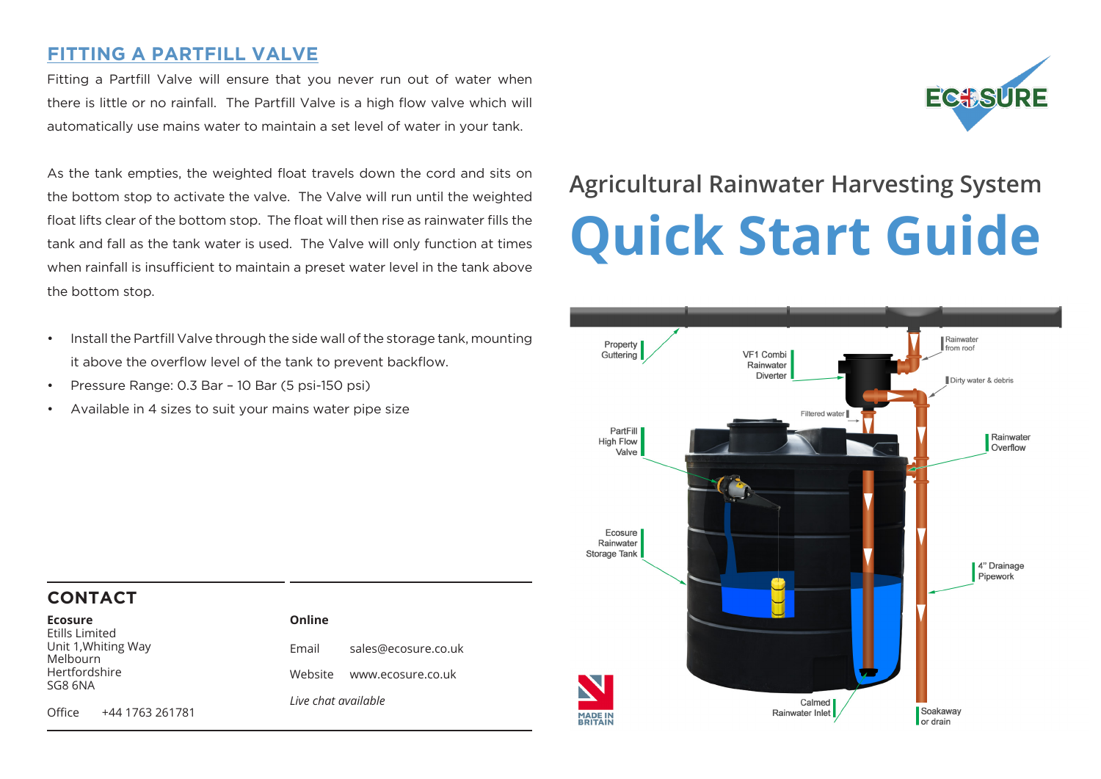# **FITTING A PARTFILL VALVE**

Fitting a Partfill Valve will ensure that you never run out of water when there is little or no rainfall. The Partfill Valve is a high flow valve which will automatically use mains water to maintain a set level of water in your tank.

As the tank empties, the weighted float travels down the cord and sits on the bottom stop to activate the valve. The Valve will run until the weighted float lifts clear of the bottom stop. The float will then rise as rainwater fills the tank and fall as the tank water is used. The Valve will only function at times when rainfall is insufficient to maintain a preset water level in the tank above the bottom stop.

- Install the Partfill Valve through the side wall of the storage tank, mounting it above the overflow level of the tank to prevent backflow.
- Pressure Range: 0.3 Bar 10 Bar (5 psi-150 psi)
- Available in 4 sizes to suit your mains water pipe size

# **Agricultural Rainwater Harvesting System Quick Start Guide**

**EC#SURE** 



## **CONTACT**

| <b>Ecosure</b>                                           |                 | Online              |                           |
|----------------------------------------------------------|-----------------|---------------------|---------------------------|
| <b>Etills Limited</b><br>Unit 1, Whiting Way<br>Melbourn |                 | Email               | sales@ecosure.co.uk       |
| Hertfordshire<br>SG8 6NA                                 |                 |                     | Website www.ecosure.co.uk |
|                                                          |                 | Live chat available |                           |
| Office                                                   | +44 1763 261781 |                     |                           |